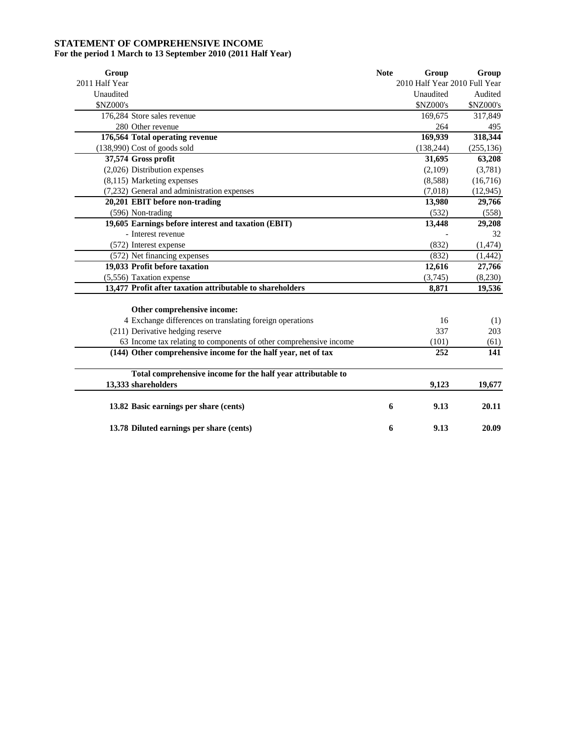# **STATEMENT OF COMPREHENSIVE INCOME**

# **For the period 1 March to 13 September 2010 (2011 Half Year)**

| Group                                                              | <b>Note</b> | Group                         | Group      |
|--------------------------------------------------------------------|-------------|-------------------------------|------------|
| 2011 Half Year                                                     |             | 2010 Half Year 2010 Full Year |            |
| Unaudited                                                          |             | Unaudited                     | Audited    |
| <b>\$NZ000's</b>                                                   |             | \$NZ000's                     | \$NZ000's  |
| 176,284 Store sales revenue                                        |             | 169,675                       | 317,849    |
| 280 Other revenue                                                  |             | 264                           | 495        |
| 176,564 Total operating revenue                                    |             | 169,939                       | 318,344    |
| (138,990) Cost of goods sold                                       |             | (138, 244)                    | (255, 136) |
| 37,574 Gross profit                                                |             | 31,695                        | 63,208     |
| $(2,026)$ Distribution expenses                                    |             | (2,109)                       | (3,781)    |
| (8,115) Marketing expenses                                         |             | (8,588)                       | (16,716)   |
| (7,232) General and administration expenses                        |             | (7,018)                       | (12, 945)  |
| 20,201 EBIT before non-trading                                     |             | 13,980                        | 29,766     |
| (596) Non-trading                                                  |             | (532)                         | (558)      |
| 19,605 Earnings before interest and taxation (EBIT)                |             | 13,448                        | 29,208     |
| - Interest revenue                                                 |             |                               | 32         |
| (572) Interest expense                                             |             | (832)                         | (1, 474)   |
| (572) Net financing expenses                                       |             | (832)                         | (1, 442)   |
| 19,033 Profit before taxation                                      |             | 12,616                        | 27,766     |
| (5,556) Taxation expense                                           |             | (3,745)                       | (8,230)    |
| 13,477 Profit after taxation attributable to shareholders          |             | 8,871                         | 19,536     |
| Other comprehensive income:                                        |             |                               |            |
| 4 Exchange differences on translating foreign operations           |             | 16                            | (1)        |
| (211) Derivative hedging reserve                                   |             | 337                           | 203        |
| 63 Income tax relating to components of other comprehensive income |             | (101)                         | (61)       |
| (144) Other comprehensive income for the half year, net of tax     |             | 252                           | 141        |
| Total comprehensive income for the half year attributable to       |             |                               |            |
| 13,333 shareholders                                                |             | 9,123                         | 19,677     |
| 13.82 Basic earnings per share (cents)                             | 6           | 9.13                          | 20.11      |
| 13.78 Diluted earnings per share (cents)                           | 6           | 9.13                          | 20.09      |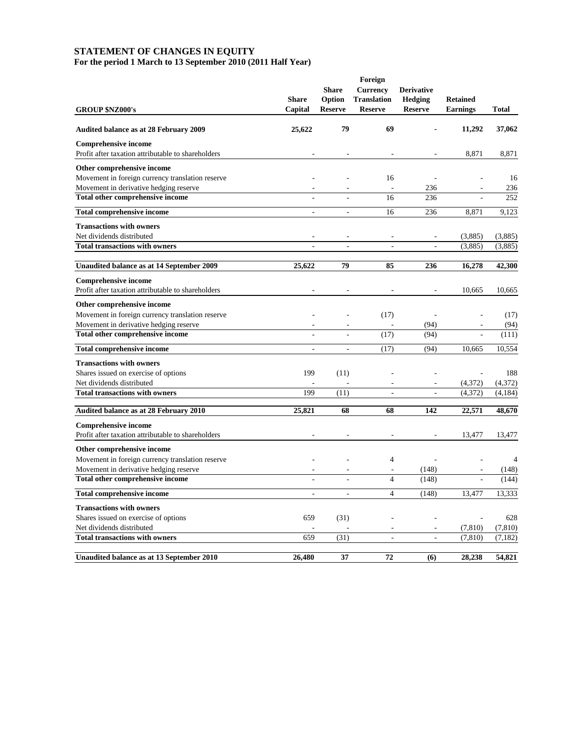#### **STATEMENT OF CHANGES IN EQUITY For the period 1 March to 13 September 2010 (2011 Half Year)**

|                                                    | Foreign      |                |                    |                   |                 |                |  |  |
|----------------------------------------------------|--------------|----------------|--------------------|-------------------|-----------------|----------------|--|--|
|                                                    |              | <b>Share</b>   | <b>Currency</b>    | <b>Derivative</b> |                 |                |  |  |
|                                                    | <b>Share</b> | Option         | <b>Translation</b> | <b>Hedging</b>    | <b>Retained</b> |                |  |  |
| <b>GROUP \$NZ000's</b>                             | Capital      | <b>Reserve</b> | <b>Reserve</b>     | <b>Reserve</b>    | <b>Earnings</b> | <b>Total</b>   |  |  |
| <b>Audited balance as at 28 February 2009</b>      | 25,622       | 79             | 69                 |                   | 11,292          | 37,062         |  |  |
| <b>Comprehensive income</b>                        |              |                |                    |                   |                 |                |  |  |
| Profit after taxation attributable to shareholders |              |                |                    |                   | 8,871           | 8,871          |  |  |
| Other comprehensive income                         |              |                |                    |                   |                 |                |  |  |
| Movement in foreign currency translation reserve   |              |                | 16                 |                   |                 | 16             |  |  |
| Movement in derivative hedging reserve             |              |                |                    | 236               |                 | 236            |  |  |
| Total other comprehensive income                   |              |                | 16                 | 236               |                 | 252            |  |  |
| <b>Total comprehensive income</b>                  | ÷,           | ÷,             | 16                 | 236               | 8,871           | 9,123          |  |  |
| <b>Transactions with owners</b>                    |              |                |                    |                   |                 |                |  |  |
| Net dividends distributed                          |              |                |                    |                   | (3,885)         | (3,885)        |  |  |
| <b>Total transactions with owners</b>              |              |                | J.                 |                   | (3,885)         | (3,885)        |  |  |
| Unaudited balance as at 14 September 2009          | 25,622       | 79             | 85                 | 236               | 16,278          | 42,300         |  |  |
| <b>Comprehensive income</b>                        |              |                |                    |                   |                 |                |  |  |
| Profit after taxation attributable to shareholders |              |                |                    |                   | 10,665          | 10,665         |  |  |
| Other comprehensive income                         |              |                |                    |                   |                 |                |  |  |
| Movement in foreign currency translation reserve   |              |                | (17)               |                   |                 | (17)           |  |  |
| Movement in derivative hedging reserve             |              |                |                    | (94)              |                 | (94)           |  |  |
| Total other comprehensive income                   |              |                | (17)               | (94)              |                 | (111)          |  |  |
| <b>Total comprehensive income</b>                  | ÷,           | ÷,             | (17)               | (94)              | 10,665          | 10,554         |  |  |
| <b>Transactions with owners</b>                    |              |                |                    |                   |                 |                |  |  |
| Shares issued on exercise of options               | 199          | (11)           |                    |                   |                 | 188            |  |  |
| Net dividends distributed                          |              |                |                    |                   | (4,372)         | (4,372)        |  |  |
| <b>Total transactions with owners</b>              | 199          | (11)           | ÷,                 | ÷,                | (4,372)         | (4, 184)       |  |  |
| Audited balance as at 28 February 2010             | 25,821       | 68             | 68                 | 142               | 22,571          | 48,670         |  |  |
| <b>Comprehensive income</b>                        |              |                |                    |                   |                 |                |  |  |
| Profit after taxation attributable to shareholders |              |                |                    |                   | 13,477          | 13,477         |  |  |
| Other comprehensive income                         |              |                |                    |                   |                 |                |  |  |
| Movement in foreign currency translation reserve   |              |                | $\overline{4}$     |                   |                 | $\overline{4}$ |  |  |
| Movement in derivative hedging reserve             |              |                |                    | (148)             |                 | (148)          |  |  |
| Total other comprehensive income                   |              |                | $\overline{4}$     | (148)             |                 | (144)          |  |  |
| <b>Total comprehensive income</b>                  | ä,           | ÷,             | $\overline{4}$     | (148)             | 13,477          | 13,333         |  |  |
| <b>Transactions with owners</b>                    |              |                |                    |                   |                 |                |  |  |
| Shares issued on exercise of options               | 659          | (31)           |                    |                   |                 | 628            |  |  |
| Net dividends distributed                          |              |                |                    |                   | (7, 810)        | (7, 810)       |  |  |
| <b>Total transactions with owners</b>              | 659          | (31)           |                    |                   | (7, 810)        | (7, 182)       |  |  |
| Unaudited balance as at 13 September 2010          | 26,480       | 37             | 72                 | (6)               | 28,238          | 54,821         |  |  |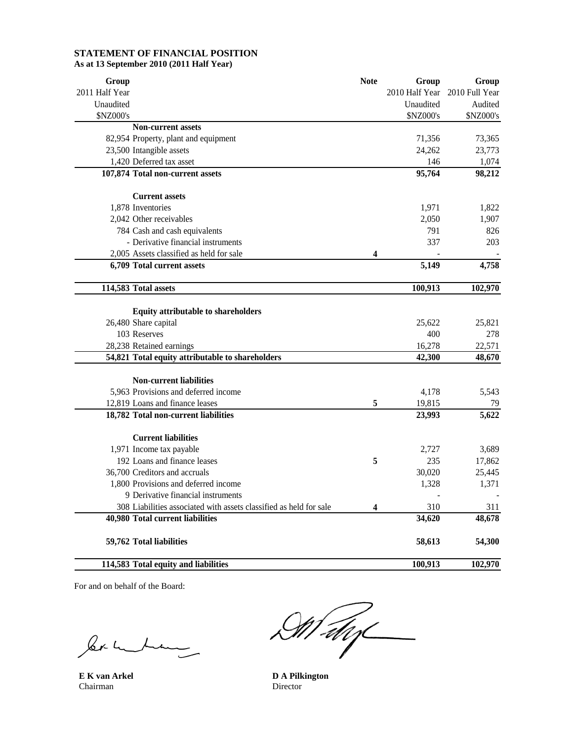# **STATEMENT OF FINANCIAL POSITION As at 13 September 2010 (2011 Half Year)**

| Group          |                                                                    | <b>Note</b> | Group          | Group          |
|----------------|--------------------------------------------------------------------|-------------|----------------|----------------|
| 2011 Half Year |                                                                    |             | 2010 Half Year | 2010 Full Year |
| Unaudited      |                                                                    |             | Unaudited      | Audited        |
| \$NZ000's      |                                                                    |             | \$NZ000's      | \$NZ000's      |
|                | <b>Non-current assets</b>                                          |             |                |                |
|                | 82,954 Property, plant and equipment                               |             | 71,356         | 73,365         |
|                | 23,500 Intangible assets                                           |             | 24,262         | 23,773         |
|                | 1,420 Deferred tax asset                                           |             | 146            | 1,074          |
|                | 107,874 Total non-current assets                                   |             | 95,764         | 98,212         |
|                | <b>Current assets</b>                                              |             |                |                |
|                | 1,878 Inventories                                                  |             | 1,971          | 1,822          |
|                | 2,042 Other receivables                                            |             | 2,050          | 1,907          |
|                | 784 Cash and cash equivalents                                      |             | 791            | 826            |
|                | - Derivative financial instruments                                 |             | 337            | 203            |
|                | 2,005 Assets classified as held for sale                           | 4           |                |                |
|                | 6,709 Total current assets                                         |             | 5,149          | 4,758          |
|                | 114,583 Total assets                                               |             | 100,913        | 102,970        |
|                | <b>Equity attributable to shareholders</b>                         |             |                |                |
|                | 26,480 Share capital                                               |             | 25,622         | 25,821         |
|                | 103 Reserves                                                       |             | 400            | 278            |
|                | 28,238 Retained earnings                                           |             | 16,278         | 22,571         |
|                | 54,821 Total equity attributable to shareholders                   |             | 42,300         | 48,670         |
|                |                                                                    |             |                |                |
|                | <b>Non-current liabilities</b>                                     |             |                |                |
|                | 5,963 Provisions and deferred income                               |             | 4,178          | 5,543          |
|                | 12,819 Loans and finance leases                                    | 5           | 19,815         | 79             |
|                | 18,782 Total non-current liabilities                               |             | 23,993         | 5,622          |
|                | <b>Current liabilities</b>                                         |             |                |                |
|                | 1,971 Income tax payable                                           |             | 2,727          | 3,689          |
|                | 192 Loans and finance leases                                       | 5           | 235            | 17,862         |
|                | 36,700 Creditors and accruals                                      |             | 30,020         | 25,445         |
|                | 1,800 Provisions and deferred income                               |             | 1,328          | 1,371          |
|                | 9 Derivative financial instruments                                 |             |                |                |
|                | 308 Liabilities associated with assets classified as held for sale | 4           | 310            | 311            |
|                | 40,980 Total current liabilities                                   |             | 34,620         | 48,678         |
|                | 59,762 Total liabilities                                           |             | 58,613         | 54,300         |
|                | 114,583 Total equity and liabilities                               |             | 100,913        | 102,970        |

For and on behalf of the Board:

ler m L  $\overline{\mathbf{r}}$ 

Chairman

Malys

**E K van Arkel D A Pilkington**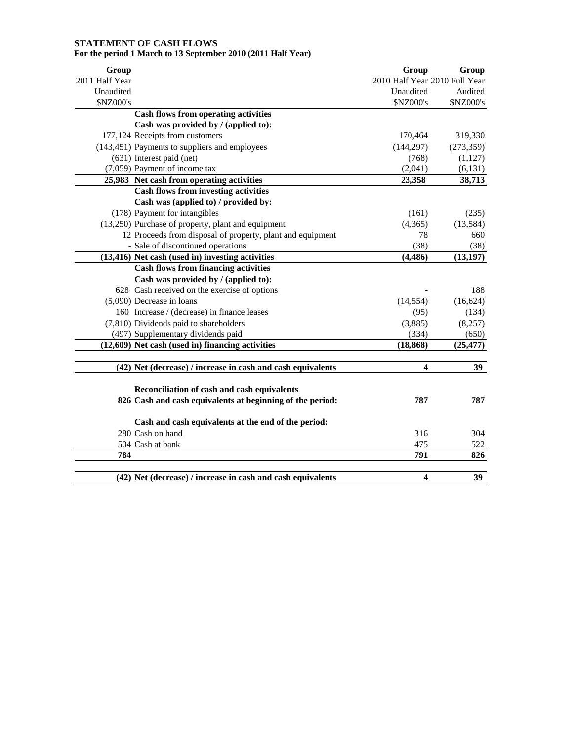# **STATEMENT OF CASH FLOWS For the period 1 March to 13 September 2010 (2011 Half Year)**

| Group          |                                                                                                 | Group                         | Group            |
|----------------|-------------------------------------------------------------------------------------------------|-------------------------------|------------------|
| 2011 Half Year |                                                                                                 | 2010 Half Year 2010 Full Year |                  |
| Unaudited      |                                                                                                 | Unaudited<br>\$NZ000's        | Audited          |
| \$NZ000's      |                                                                                                 |                               | \$NZ000's        |
|                | <b>Cash flows from operating activities</b>                                                     |                               |                  |
|                | Cash was provided by / (applied to):                                                            |                               |                  |
|                | 177,124 Receipts from customers                                                                 | 170,464                       | 319,330          |
|                | (143,451) Payments to suppliers and employees                                                   | (144, 297)                    | (273, 359)       |
|                | (631) Interest paid (net)                                                                       | (768)                         | (1, 127)         |
|                | (7,059) Payment of income tax                                                                   | (2,041)                       | (6, 131)         |
|                | 25,983 Net cash from operating activities<br><b>Cash flows from investing activities</b>        | 23,358                        | 38,713           |
|                |                                                                                                 |                               |                  |
|                | Cash was (applied to) / provided by:                                                            |                               |                  |
|                | (178) Payment for intangibles                                                                   | (161)                         | (235)            |
|                | (13,250) Purchase of property, plant and equipment                                              | (4,365)<br>78                 | (13, 584)<br>660 |
|                | 12 Proceeds from disposal of property, plant and equipment                                      |                               |                  |
|                | - Sale of discontinued operations                                                               | (38)                          | (38)             |
|                | (13,416) Net cash (used in) investing activities<br><b>Cash flows from financing activities</b> | (4, 486)                      | (13, 197)        |
|                | Cash was provided by / (applied to):                                                            |                               |                  |
|                | 628 Cash received on the exercise of options                                                    |                               | 188              |
|                | (5,090) Decrease in loans                                                                       | (14, 554)                     | (16, 624)        |
|                | 160 Increase / (decrease) in finance leases                                                     | (95)                          | (134)            |
|                | (7,810) Dividends paid to shareholders                                                          | (3,885)                       | (8,257)          |
|                | (497) Supplementary dividends paid                                                              | (334)                         | (650)            |
|                | (12,609) Net cash (used in) financing activities                                                | (18, 868)                     | (25, 477)        |
|                |                                                                                                 |                               |                  |
|                | (42) Net (decrease) / increase in cash and cash equivalents                                     | 4                             | 39               |
|                | Reconciliation of cash and cash equivalents                                                     |                               |                  |
|                | 826 Cash and cash equivalents at beginning of the period:                                       | 787                           | 787              |
|                | Cash and cash equivalents at the end of the period:                                             |                               |                  |
|                | 280 Cash on hand                                                                                | 316                           | 304              |
|                | 504 Cash at bank                                                                                | 475                           | 522              |
| 784            |                                                                                                 | 791                           | 826              |
|                |                                                                                                 |                               |                  |
|                | (42) Net (decrease) / increase in cash and cash equivalents                                     | $\overline{\mathbf{4}}$       | 39               |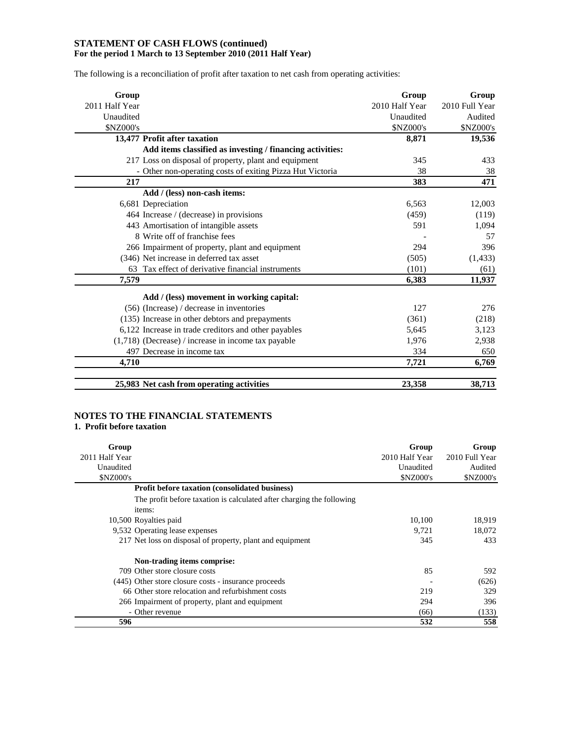# **STATEMENT OF CASH FLOWS (continued) For the period 1 March to 13 September 2010 (2011 Half Year)**

The following is a reconciliation of profit after taxation to net cash from operating activities:

| Group                                                     | Group            | Group          |
|-----------------------------------------------------------|------------------|----------------|
| 2011 Half Year                                            | 2010 Half Year   | 2010 Full Year |
| Unaudited                                                 | Unaudited        | Audited        |
| <b>\$NZ000's</b>                                          | <b>\$NZ000's</b> | \$NZ000's      |
| 13,477 Profit after taxation                              | 8,871            | 19,536         |
| Add items classified as investing / financing activities: |                  |                |
| 217 Loss on disposal of property, plant and equipment     | 345              | 433            |
| - Other non-operating costs of exiting Pizza Hut Victoria | 38               | 38             |
| 217                                                       | 383              | 471            |
| Add / (less) non-cash items:                              |                  |                |
| 6,681 Depreciation                                        | 6,563            | 12,003         |
| 464 Increase / (decrease) in provisions                   | (459)            | (119)          |
| 443 Amortisation of intangible assets                     | 591              | 1,094          |
| 8 Write off of franchise fees                             |                  | 57             |
| 266 Impairment of property, plant and equipment           | 294              | 396            |
| (346) Net increase in deferred tax asset                  | (505)            | (1, 433)       |
| Tax effect of derivative financial instruments<br>63      | (101)            | (61)           |
| 7.579                                                     | 6,383            | 11,937         |
| Add / (less) movement in working capital:                 |                  |                |
| $(56)$ (Increase) / decrease in inventories               | 127              | 276            |
| (135) Increase in other debtors and prepayments           | (361)            | (218)          |
| 6,122 Increase in trade creditors and other payables      | 5,645            | 3,123          |
| $(1,718)$ (Decrease) / increase in income tax payable     | 1,976            | 2,938          |
| 497 Decrease in income tax                                | 334              | 650            |
| 4,710                                                     | 7,721            | 6,769          |
| 25,983 Net cash from operating activities                 | 23,358           | 38,713         |

# **NOTES TO THE FINANCIAL STATEMENTS**

# **1. Profit before taxation**

| Group           |                                                                                 | Group            | Group            |
|-----------------|---------------------------------------------------------------------------------|------------------|------------------|
| 2011 Half Year  |                                                                                 | 2010 Half Year   | 2010 Full Year   |
| Unaudited       |                                                                                 | Unaudited        | Audited          |
| <b>SNZ000's</b> |                                                                                 | <b>\$NZ000's</b> | <b>\$NZ000's</b> |
|                 | Profit before taxation (consolidated business)                                  |                  |                  |
|                 | The profit before taxation is calculated after charging the following<br>items: |                  |                  |
|                 | 10,500 Royalties paid                                                           | 10,100           | 18,919           |
|                 | 9,532 Operating lease expenses                                                  | 9,721            | 18,072           |
|                 | 217 Net loss on disposal of property, plant and equipment                       | 345              | 433              |
|                 | Non-trading items comprise:                                                     |                  |                  |
|                 | 709 Other store closure costs                                                   | 85               | 592              |
|                 | (445) Other store closure costs - insurance proceeds                            |                  | (626)            |
|                 | 66 Other store relocation and refurbishment costs                               | 219              | 329              |
|                 | 266 Impairment of property, plant and equipment                                 | 294              | 396              |
|                 | - Other revenue                                                                 | (66)             | (133)            |
| 596             |                                                                                 | 532              | 558              |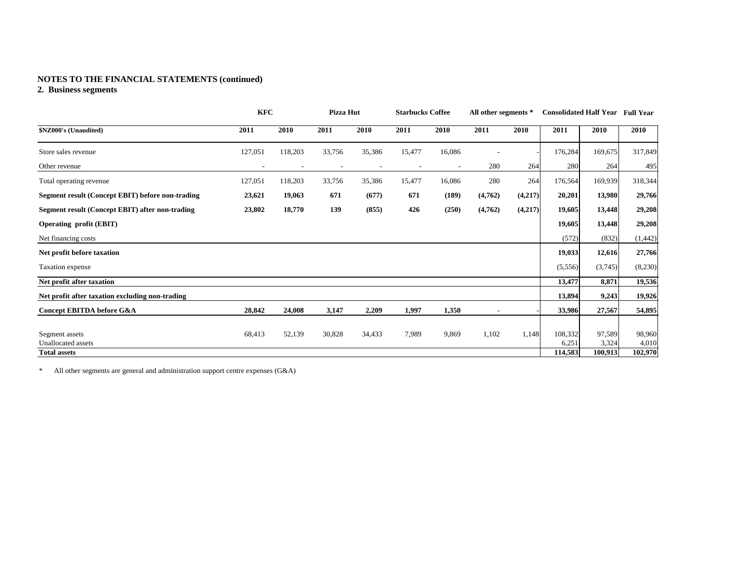# **NOTES TO THE FINANCIAL STATEMENTS (continued)**

# **2. Business segments**

|                                                  | <b>KFC</b> |         | Pizza Hut                |        | <b>Starbucks Coffee</b> |        | All other segments * |         | <b>Consolidated Half Year Full Year</b> |         |          |
|--------------------------------------------------|------------|---------|--------------------------|--------|-------------------------|--------|----------------------|---------|-----------------------------------------|---------|----------|
| \$NZ000's (Unaudited)                            | 2011       | 2010    | 2011                     | 2010   | 2011                    | 2010   | 2011                 | 2010    | 2011                                    | 2010    | 2010     |
| Store sales revenue                              | 127,051    | 118,203 | 33,756                   | 35,386 | 15,477                  | 16,086 |                      |         | 176,284                                 | 169,675 | 317,849  |
| Other revenue                                    |            |         | $\overline{\phantom{a}}$ |        |                         |        | 280                  | 264     | 280                                     | 264     | 495      |
| Total operating revenue                          | 127,051    | 118,203 | 33,756                   | 35,386 | 15,477                  | 16,086 | 280                  | 264     | 176,564                                 | 169,939 | 318,344  |
| Segment result (Concept EBIT) before non-trading | 23,621     | 19,063  | 671                      | (677)  | 671                     | (189)  | (4,762)              | (4,217) | 20,201                                  | 13,980  | 29,766   |
| Segment result (Concept EBIT) after non-trading  | 23,802     | 18,770  | 139                      | (855)  | 426                     | (250)  | (4,762)              | (4,217) | 19,605                                  | 13,448  | 29,208   |
| <b>Operating profit (EBIT)</b>                   |            |         |                          |        |                         |        |                      |         | 19,605                                  | 13,448  | 29,208   |
| Net financing costs                              |            |         |                          |        |                         |        |                      |         | (572)                                   | (832)   | (1, 442) |
| Net profit before taxation                       |            |         |                          |        |                         |        |                      |         | 19,033                                  | 12,616  | 27,766   |
| Taxation expense                                 |            |         |                          |        |                         |        |                      |         | (5,556)                                 | (3,745) | (8,230)  |
| Net profit after taxation                        |            |         |                          |        |                         |        |                      |         | 13,477                                  | 8,871   | 19,536   |
| Net profit after taxation excluding non-trading  |            |         |                          |        |                         |        |                      |         | 13,894                                  | 9,243   | 19,926   |
| Concept EBITDA before G&A                        | 28,842     | 24,008  | 3,147                    | 2,209  | 1,997                   | 1,350  |                      |         | 33,986                                  | 27,567  | 54,895   |
|                                                  |            |         |                          |        |                         |        |                      |         |                                         |         |          |
| Segment assets                                   | 68,413     | 52,139  | 30,828                   | 34,433 | 7,989                   | 9,869  | 1,102                | 1,148   | 108,332                                 | 97,589  | 98,960   |
| Unallocated assets                               |            |         |                          |        |                         |        |                      |         | 6,251                                   | 3,324   | 4,010    |
| <b>Total assets</b>                              |            |         |                          |        |                         |        |                      |         | 114,583                                 | 100,913 | 102,970  |

\* All other segments are general and administration support centre expenses (G&A)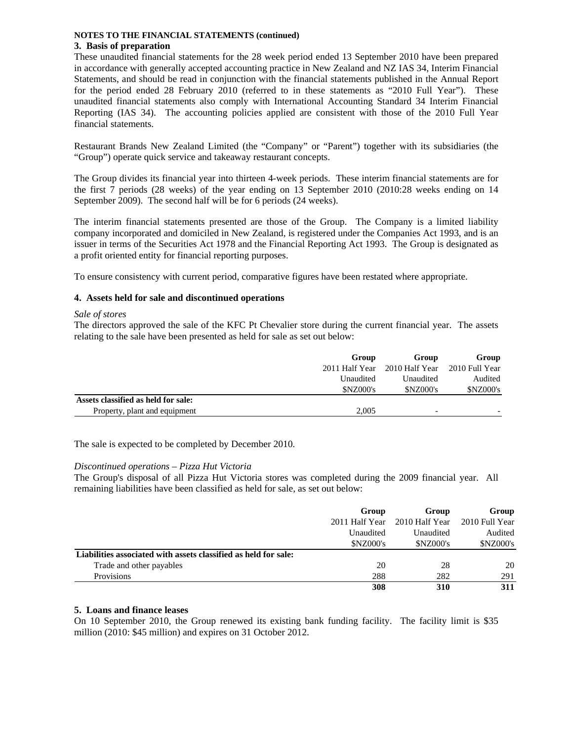# **NOTES TO THE FINANCIAL STATEMENTS (continued)**

# **3. Basis of preparation**

These unaudited financial statements for the 28 week period ended 13 September 2010 have been prepared in accordance with generally accepted accounting practice in New Zealand and NZ IAS 34, Interim Financial Statements, and should be read in conjunction with the financial statements published in the Annual Report for the period ended 28 February 2010 (referred to in these statements as "2010 Full Year"). These unaudited financial statements also comply with International Accounting Standard 34 Interim Financial Reporting (IAS 34). The accounting policies applied are consistent with those of the 2010 Full Year financial statements.

Restaurant Brands New Zealand Limited (the "Company" or "Parent") together with its subsidiaries (the "Group") operate quick service and takeaway restaurant concepts.

The Group divides its financial year into thirteen 4-week periods. These interim financial statements are for the first 7 periods (28 weeks) of the year ending on 13 September 2010 (2010:28 weeks ending on 14 September 2009). The second half will be for 6 periods (24 weeks).

The interim financial statements presented are those of the Group. The Company is a limited liability company incorporated and domiciled in New Zealand, is registered under the Companies Act 1993, and is an issuer in terms of the Securities Act 1978 and the Financial Reporting Act 1993. The Group is designated as a profit oriented entity for financial reporting purposes.

To ensure consistency with current period, comparative figures have been restated where appropriate.

# **4. Assets held for sale and discontinued operations**

# *Sale of stores*

The directors approved the sale of the KFC Pt Chevalier store during the current financial year. The assets relating to the sale have been presented as held for sale as set out below:

|                                     | Group           | Group                    | Group           |  |
|-------------------------------------|-----------------|--------------------------|-----------------|--|
|                                     | 2011 Half Year  | 2010 Half Year           | 2010 Full Year  |  |
|                                     | Unaudited       | Unaudited                | Audited         |  |
|                                     | <b>SNZ000's</b> | <b>SNZ000's</b>          | <b>SNZ000's</b> |  |
| Assets classified as held for sale: |                 |                          |                 |  |
| Property, plant and equipment       | 2.005           | $\overline{\phantom{0}}$ |                 |  |

The sale is expected to be completed by December 2010.

# *Discontinued operations – Pizza Hut Victoria*

The Group's disposal of all Pizza Hut Victoria stores was completed during the 2009 financial year. All remaining liabilities have been classified as held for sale, as set out below:

|                                                                 | Group            | Group            | Group            |  |
|-----------------------------------------------------------------|------------------|------------------|------------------|--|
|                                                                 | 2011 Half Year   | 2010 Half Year   | 2010 Full Year   |  |
|                                                                 | Unaudited        | Unaudited        | Audited          |  |
|                                                                 | <b>\$NZ000's</b> | <b>\$NZ000's</b> | <b>\$NZ000's</b> |  |
| Liabilities associated with assets classified as held for sale: |                  |                  |                  |  |
| Trade and other payables                                        | 20               | 28               | 20               |  |
| <b>Provisions</b>                                               | 288              | 282              | 291              |  |
|                                                                 | 308              | 310              | 311              |  |

# **5. Loans and finance leases**

On 10 September 2010, the Group renewed its existing bank funding facility. The facility limit is \$35 million (2010: \$45 million) and expires on 31 October 2012.